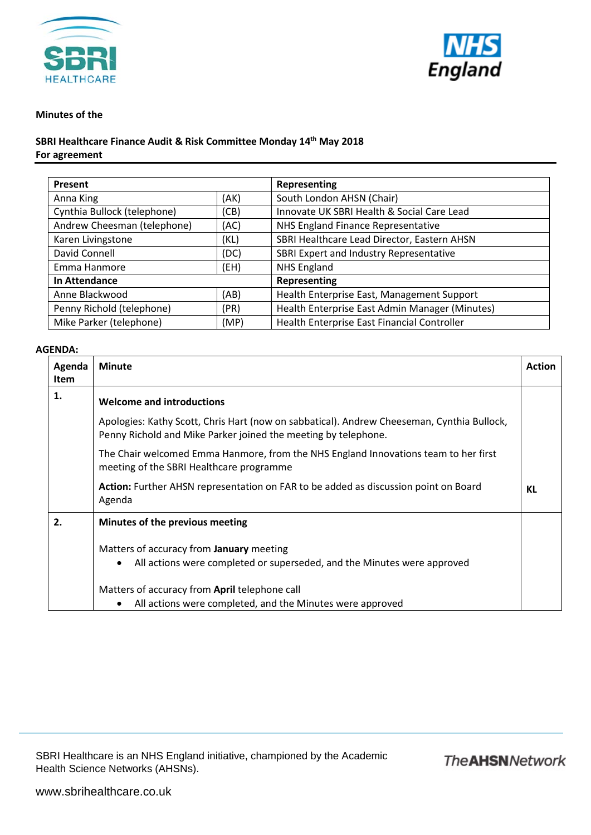



### **Minutes of the**

### **SBRI Healthcare Finance Audit & Risk Committee Monday 14th May 2018 For agreement**

| Present                     |      | Representing                                   |
|-----------------------------|------|------------------------------------------------|
| Anna King                   | (AK) | South London AHSN (Chair)                      |
| Cynthia Bullock (telephone) | (CB) | Innovate UK SBRI Health & Social Care Lead     |
| Andrew Cheesman (telephone) | (AC) | NHS England Finance Representative             |
| Karen Livingstone           | (KL) | SBRI Healthcare Lead Director, Eastern AHSN    |
| David Connell               | (DC) | SBRI Expert and Industry Representative        |
| Emma Hanmore                | (EH) | <b>NHS England</b>                             |
| In Attendance               |      | Representing                                   |
| Anne Blackwood              | (AB) | Health Enterprise East, Management Support     |
| Penny Richold (telephone)   | (PR) | Health Enterprise East Admin Manager (Minutes) |
| Mike Parker (telephone)     | (MP) | Health Enterprise East Financial Controller    |

#### **AGENDA:**

| Agenda            | <b>Minute</b>                                                                                                                                                | <b>Action</b> |
|-------------------|--------------------------------------------------------------------------------------------------------------------------------------------------------------|---------------|
| <b>Item</b><br>1. |                                                                                                                                                              |               |
|                   | <b>Welcome and introductions</b>                                                                                                                             |               |
|                   | Apologies: Kathy Scott, Chris Hart (now on sabbatical). Andrew Cheeseman, Cynthia Bullock,<br>Penny Richold and Mike Parker joined the meeting by telephone. |               |
|                   | The Chair welcomed Emma Hanmore, from the NHS England Innovations team to her first<br>meeting of the SBRI Healthcare programme                              |               |
|                   | <b>Action:</b> Further AHSN representation on FAR to be added as discussion point on Board<br>Agenda                                                         | KL            |
| 2.                | Minutes of the previous meeting                                                                                                                              |               |
|                   | Matters of accuracy from January meeting                                                                                                                     |               |
|                   | All actions were completed or superseded, and the Minutes were approved<br>$\bullet$                                                                         |               |
|                   | Matters of accuracy from April telephone call                                                                                                                |               |
|                   | All actions were completed, and the Minutes were approved<br>٠                                                                                               |               |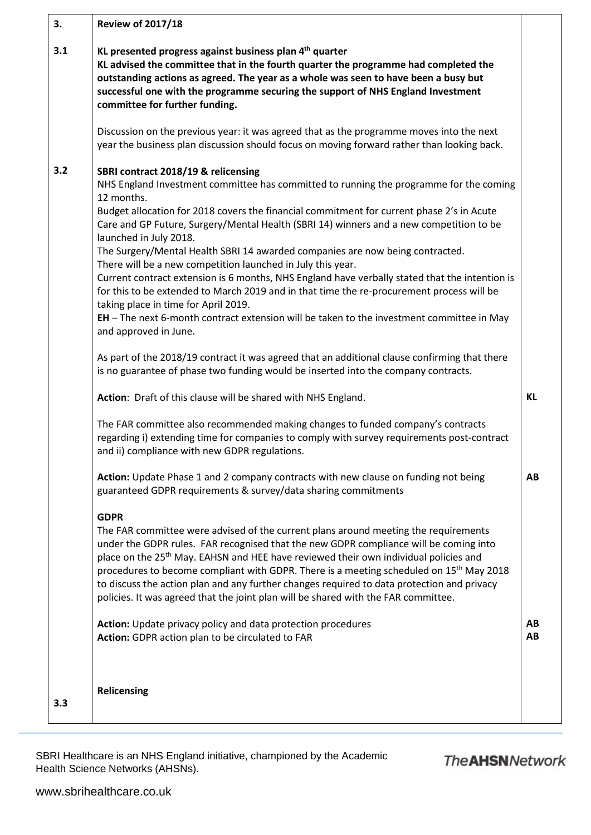| 3.  | <b>Review of 2017/18</b>                                                                                                                                                                                                                                                                                                                                                                                                                                                                                                                                                                                                                                                                                                                                                                                                                                                                                                                                                                                                                                                                                                           |           |
|-----|------------------------------------------------------------------------------------------------------------------------------------------------------------------------------------------------------------------------------------------------------------------------------------------------------------------------------------------------------------------------------------------------------------------------------------------------------------------------------------------------------------------------------------------------------------------------------------------------------------------------------------------------------------------------------------------------------------------------------------------------------------------------------------------------------------------------------------------------------------------------------------------------------------------------------------------------------------------------------------------------------------------------------------------------------------------------------------------------------------------------------------|-----------|
| 3.1 | KL presented progress against business plan 4 <sup>th</sup> quarter<br>KL advised the committee that in the fourth quarter the programme had completed the<br>outstanding actions as agreed. The year as a whole was seen to have been a busy but<br>successful one with the programme securing the support of NHS England Investment<br>committee for further funding.                                                                                                                                                                                                                                                                                                                                                                                                                                                                                                                                                                                                                                                                                                                                                            |           |
|     | Discussion on the previous year: it was agreed that as the programme moves into the next<br>year the business plan discussion should focus on moving forward rather than looking back.                                                                                                                                                                                                                                                                                                                                                                                                                                                                                                                                                                                                                                                                                                                                                                                                                                                                                                                                             |           |
| 3.2 | SBRI contract 2018/19 & relicensing<br>NHS England Investment committee has committed to running the programme for the coming<br>12 months.<br>Budget allocation for 2018 covers the financial commitment for current phase 2's in Acute<br>Care and GP Future, Surgery/Mental Health (SBRI 14) winners and a new competition to be<br>launched in July 2018.<br>The Surgery/Mental Health SBRI 14 awarded companies are now being contracted.<br>There will be a new competition launched in July this year.<br>Current contract extension is 6 months, NHS England have verbally stated that the intention is<br>for this to be extended to March 2019 and in that time the re-procurement process will be<br>taking place in time for April 2019.<br>EH - The next 6-month contract extension will be taken to the investment committee in May<br>and approved in June.<br>As part of the 2018/19 contract it was agreed that an additional clause confirming that there<br>is no guarantee of phase two funding would be inserted into the company contracts.<br>Action: Draft of this clause will be shared with NHS England. | <b>KL</b> |
|     | The FAR committee also recommended making changes to funded company's contracts<br>regarding i) extending time for companies to comply with survey requirements post-contract<br>and ii) compliance with new GDPR regulations.                                                                                                                                                                                                                                                                                                                                                                                                                                                                                                                                                                                                                                                                                                                                                                                                                                                                                                     |           |
|     | Action: Update Phase 1 and 2 company contracts with new clause on funding not being<br>guaranteed GDPR requirements & survey/data sharing commitments                                                                                                                                                                                                                                                                                                                                                                                                                                                                                                                                                                                                                                                                                                                                                                                                                                                                                                                                                                              | AB        |
|     | <b>GDPR</b><br>The FAR committee were advised of the current plans around meeting the requirements<br>under the GDPR rules. FAR recognised that the new GDPR compliance will be coming into<br>place on the 25 <sup>th</sup> May. EAHSN and HEE have reviewed their own individual policies and<br>procedures to become compliant with GDPR. There is a meeting scheduled on 15 <sup>th</sup> May 2018<br>to discuss the action plan and any further changes required to data protection and privacy<br>policies. It was agreed that the joint plan will be shared with the FAR committee.                                                                                                                                                                                                                                                                                                                                                                                                                                                                                                                                         |           |
|     | Action: Update privacy policy and data protection procedures<br>Action: GDPR action plan to be circulated to FAR                                                                                                                                                                                                                                                                                                                                                                                                                                                                                                                                                                                                                                                                                                                                                                                                                                                                                                                                                                                                                   | AB<br>AB  |
| 3.3 | <b>Relicensing</b>                                                                                                                                                                                                                                                                                                                                                                                                                                                                                                                                                                                                                                                                                                                                                                                                                                                                                                                                                                                                                                                                                                                 |           |

SBRI Healthcare is an NHS England initiative, championed by the Academic Health Science Networks (AHSNs).

## **The AHSN Network**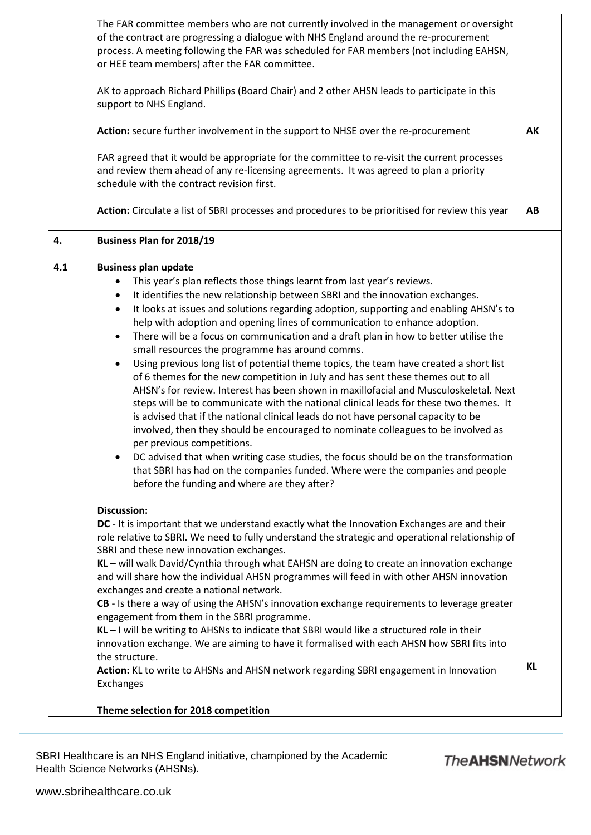|     | The FAR committee members who are not currently involved in the management or oversight<br>of the contract are progressing a dialogue with NHS England around the re-procurement<br>process. A meeting following the FAR was scheduled for FAR members (not including EAHSN,<br>or HEE team members) after the FAR committee.<br>AK to approach Richard Phillips (Board Chair) and 2 other AHSN leads to participate in this<br>support to NHS England.                                                                                                                                                                                                                                                                                                                                                                                                                                                                                                                                                                                                                                                                                                                                                                                                                                                                                                                         |    |
|-----|---------------------------------------------------------------------------------------------------------------------------------------------------------------------------------------------------------------------------------------------------------------------------------------------------------------------------------------------------------------------------------------------------------------------------------------------------------------------------------------------------------------------------------------------------------------------------------------------------------------------------------------------------------------------------------------------------------------------------------------------------------------------------------------------------------------------------------------------------------------------------------------------------------------------------------------------------------------------------------------------------------------------------------------------------------------------------------------------------------------------------------------------------------------------------------------------------------------------------------------------------------------------------------------------------------------------------------------------------------------------------------|----|
|     | Action: secure further involvement in the support to NHSE over the re-procurement                                                                                                                                                                                                                                                                                                                                                                                                                                                                                                                                                                                                                                                                                                                                                                                                                                                                                                                                                                                                                                                                                                                                                                                                                                                                                               | AK |
|     | FAR agreed that it would be appropriate for the committee to re-visit the current processes<br>and review them ahead of any re-licensing agreements. It was agreed to plan a priority<br>schedule with the contract revision first.                                                                                                                                                                                                                                                                                                                                                                                                                                                                                                                                                                                                                                                                                                                                                                                                                                                                                                                                                                                                                                                                                                                                             |    |
|     | Action: Circulate a list of SBRI processes and procedures to be prioritised for review this year                                                                                                                                                                                                                                                                                                                                                                                                                                                                                                                                                                                                                                                                                                                                                                                                                                                                                                                                                                                                                                                                                                                                                                                                                                                                                | AB |
| 4.  | <b>Business Plan for 2018/19</b>                                                                                                                                                                                                                                                                                                                                                                                                                                                                                                                                                                                                                                                                                                                                                                                                                                                                                                                                                                                                                                                                                                                                                                                                                                                                                                                                                |    |
| 4.1 | <b>Business plan update</b><br>This year's plan reflects those things learnt from last year's reviews.<br>$\bullet$<br>It identifies the new relationship between SBRI and the innovation exchanges.<br>$\bullet$<br>It looks at issues and solutions regarding adoption, supporting and enabling AHSN's to<br>$\bullet$<br>help with adoption and opening lines of communication to enhance adoption.<br>There will be a focus on communication and a draft plan in how to better utilise the<br>$\bullet$<br>small resources the programme has around comms.<br>Using previous long list of potential theme topics, the team have created a short list<br>$\bullet$<br>of 6 themes for the new competition in July and has sent these themes out to all<br>AHSN's for review. Interest has been shown in maxillofacial and Musculoskeletal. Next<br>steps will be to communicate with the national clinical leads for these two themes. It<br>is advised that if the national clinical leads do not have personal capacity to be<br>involved, then they should be encouraged to nominate colleagues to be involved as<br>per previous competitions.<br>DC advised that when writing case studies, the focus should be on the transformation<br>that SBRI has had on the companies funded. Where were the companies and people<br>before the funding and where are they after? |    |
|     | <b>Discussion:</b><br>DC - It is important that we understand exactly what the Innovation Exchanges are and their<br>role relative to SBRI. We need to fully understand the strategic and operational relationship of<br>SBRI and these new innovation exchanges.<br>KL - will walk David/Cynthia through what EAHSN are doing to create an innovation exchange<br>and will share how the individual AHSN programmes will feed in with other AHSN innovation<br>exchanges and create a national network.<br>CB - Is there a way of using the AHSN's innovation exchange requirements to leverage greater<br>engagement from them in the SBRI programme.<br>KL - I will be writing to AHSNs to indicate that SBRI would like a structured role in their<br>innovation exchange. We are aiming to have it formalised with each AHSN how SBRI fits into<br>the structure.<br>Action: KL to write to AHSNs and AHSN network regarding SBRI engagement in Innovation                                                                                                                                                                                                                                                                                                                                                                                                                 | KL |
|     | Exchanges<br>Theme selection for 2018 competition                                                                                                                                                                                                                                                                                                                                                                                                                                                                                                                                                                                                                                                                                                                                                                                                                                                                                                                                                                                                                                                                                                                                                                                                                                                                                                                               |    |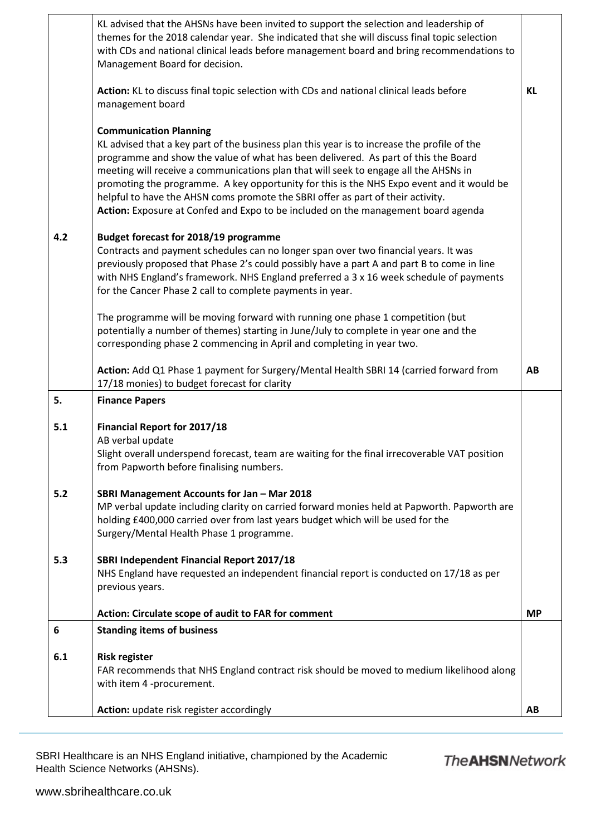|     | KL advised that the AHSNs have been invited to support the selection and leadership of<br>themes for the 2018 calendar year. She indicated that she will discuss final topic selection<br>with CDs and national clinical leads before management board and bring recommendations to<br>Management Board for decision.                                                                                                                                                                                                                                                           |           |
|-----|---------------------------------------------------------------------------------------------------------------------------------------------------------------------------------------------------------------------------------------------------------------------------------------------------------------------------------------------------------------------------------------------------------------------------------------------------------------------------------------------------------------------------------------------------------------------------------|-----------|
|     | Action: KL to discuss final topic selection with CDs and national clinical leads before<br>management board                                                                                                                                                                                                                                                                                                                                                                                                                                                                     | KL        |
|     | <b>Communication Planning</b><br>KL advised that a key part of the business plan this year is to increase the profile of the<br>programme and show the value of what has been delivered. As part of this the Board<br>meeting will receive a communications plan that will seek to engage all the AHSNs in<br>promoting the programme. A key opportunity for this is the NHS Expo event and it would be<br>helpful to have the AHSN coms promote the SBRI offer as part of their activity.<br>Action: Exposure at Confed and Expo to be included on the management board agenda |           |
| 4.2 | Budget forecast for 2018/19 programme<br>Contracts and payment schedules can no longer span over two financial years. It was<br>previously proposed that Phase 2's could possibly have a part A and part B to come in line<br>with NHS England's framework. NHS England preferred a 3 x 16 week schedule of payments<br>for the Cancer Phase 2 call to complete payments in year.                                                                                                                                                                                               |           |
|     | The programme will be moving forward with running one phase 1 competition (but<br>potentially a number of themes) starting in June/July to complete in year one and the<br>corresponding phase 2 commencing in April and completing in year two.                                                                                                                                                                                                                                                                                                                                |           |
|     | Action: Add Q1 Phase 1 payment for Surgery/Mental Health SBRI 14 (carried forward from<br>17/18 monies) to budget forecast for clarity                                                                                                                                                                                                                                                                                                                                                                                                                                          | AB        |
| 5.  | <b>Finance Papers</b>                                                                                                                                                                                                                                                                                                                                                                                                                                                                                                                                                           |           |
| 5.1 | <b>Financial Report for 2017/18</b><br>AB verbal update                                                                                                                                                                                                                                                                                                                                                                                                                                                                                                                         |           |
|     | Slight overall underspend forecast, team are waiting for the final irrecoverable VAT position<br>from Papworth before finalising numbers.                                                                                                                                                                                                                                                                                                                                                                                                                                       |           |
| 5.2 | SBRI Management Accounts for Jan - Mar 2018<br>MP verbal update including clarity on carried forward monies held at Papworth. Papworth are<br>holding £400,000 carried over from last years budget which will be used for the<br>Surgery/Mental Health Phase 1 programme.                                                                                                                                                                                                                                                                                                       |           |
| 5.3 | SBRI Independent Financial Report 2017/18<br>NHS England have requested an independent financial report is conducted on 17/18 as per<br>previous years.                                                                                                                                                                                                                                                                                                                                                                                                                         |           |
|     | Action: Circulate scope of audit to FAR for comment                                                                                                                                                                                                                                                                                                                                                                                                                                                                                                                             | <b>MP</b> |
| 6   | <b>Standing items of business</b>                                                                                                                                                                                                                                                                                                                                                                                                                                                                                                                                               |           |
| 6.1 | <b>Risk register</b><br>FAR recommends that NHS England contract risk should be moved to medium likelihood along<br>with item 4 -procurement.                                                                                                                                                                                                                                                                                                                                                                                                                                   |           |
|     | Action: update risk register accordingly                                                                                                                                                                                                                                                                                                                                                                                                                                                                                                                                        | AB        |

SBRI Healthcare is an NHS England initiative, championed by the Academic Health Science Networks (AHSNs).

# **The AHSN Network**